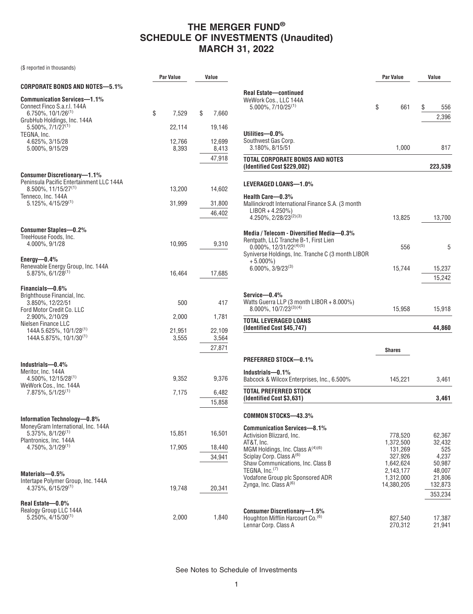(\$ reported in thousands)

|                                                                            | <b>Par Value</b> | Value           |                                                                                      | Par Value              |         | Value            |
|----------------------------------------------------------------------------|------------------|-----------------|--------------------------------------------------------------------------------------|------------------------|---------|------------------|
| <b>CORPORATE BONDS AND NOTES-5.1%</b>                                      |                  |                 |                                                                                      |                        |         |                  |
| <b>Communication Services-1.1%</b><br>Connect Finco S.a.r.l. 144A          |                  |                 | <b>Real Estate-continued</b><br>WeWork Cos., LLC 144A<br>$5.000\%$ , $7/10/25^{(1)}$ | \$                     | 661     | \$<br>556        |
| $6.750\%$ , $10/1/26^{(1)}$<br>GrubHub Holdings, Inc. 144A                 | \$<br>7,529      | \$<br>7,660     |                                                                                      |                        |         | 2,396            |
| $5.500\%$ , $7/1/27^{(1)}$                                                 | 22,114           | 19,146          |                                                                                      |                        |         |                  |
| TEGNA, Inc.                                                                |                  |                 | Utilities-0.0%                                                                       |                        |         |                  |
| 4.625%, 3/15/28<br>5.000%, 9/15/29                                         | 12,766<br>8,393  | 12,699<br>8,413 | Southwest Gas Corp.<br>3.180%, 8/15/51                                               |                        | 1,000   | 817              |
|                                                                            |                  | 47,918          | <b>TOTAL CORPORATE BONDS AND NOTES</b>                                               |                        |         |                  |
|                                                                            |                  |                 | (Identified Cost \$229,002)                                                          |                        |         | 223,539          |
| <b>Consumer Discretionary-1.1%</b>                                         |                  |                 |                                                                                      |                        |         |                  |
| Peninsula Pacific Entertainment LLC 144A                                   |                  |                 | LEVERAGED LOANS-1.0%                                                                 |                        |         |                  |
| $8.500\%$ , 11/15/27 <sup>(1)</sup><br>Tenneco, Inc. 144A                  | 13,200           | 14,602          | Health Care-0.3%                                                                     |                        |         |                  |
| $5.125\%, 4/15/29^{(1)}$                                                   | 31,999           | 31,800          | Mallinckrodt International Finance S.A. (3 month                                     |                        |         |                  |
|                                                                            |                  | 46,402          | $LIBOR + 4.250\%)$                                                                   |                        |         |                  |
|                                                                            |                  |                 | 4.250%, 2/28/23 <sup>(2)(3)</sup>                                                    |                        | 13,825  | 13,700           |
| <b>Consumer Staples-0.2%</b>                                               |                  |                 | Media / Telecom - Diversified Media-0.3%                                             |                        |         |                  |
| TreeHouse Foods, Inc.<br>4.000%, 9/1/28                                    | 10,995           | 9,310           | Rentpath, LLC Tranche B-1, First Lien                                                |                        |         |                  |
|                                                                            |                  |                 | $0.000\%$ , 12/31/22 <sup>(4)(5)</sup>                                               |                        | 556     | 5                |
| Energy $-0.4\%$                                                            |                  |                 | Syniverse Holdings, Inc. Tranche C (3 month LIBOR<br>$+5.000\%$                      |                        |         |                  |
| Renewable Energy Group, Inc. 144A                                          |                  |                 | $6.000\%$ , $3/9/23^{(3)}$                                                           |                        | 15,744  | 15,237           |
| $5.875\%, 6/1/28^{(1)}$                                                    | 16,464           | 17,685          |                                                                                      |                        |         | 15,242           |
| Financials-0.6%                                                            |                  |                 |                                                                                      |                        |         |                  |
| Brighthouse Financial, Inc.                                                |                  |                 | Service-0.4%                                                                         |                        |         |                  |
| 3.850%, 12/22/51<br>Ford Motor Credit Co. LLC                              | 500              | 417             | Watts Guerra LLP (3 month LIBOR + 8.000%)<br>$8.000\%$ , $10/7/23^{(3)(4)}$          |                        | 15,958  | 15,918           |
| 2.900%, 2/10/29                                                            | 2,000            | 1,781           |                                                                                      |                        |         |                  |
| Nielsen Finance LLC                                                        |                  |                 | <b>TOTAL LEVERAGED LOANS</b><br>(Identified Cost \$45,747)                           |                        |         | 44,860           |
| 144A 5.625%, 10/1/28 <sup>(1)</sup><br>144A 5.875%, 10/1/30 <sup>(1)</sup> | 21,951<br>3,555  | 22,109<br>3,564 |                                                                                      |                        |         |                  |
|                                                                            |                  | 27,871          |                                                                                      |                        |         |                  |
|                                                                            |                  |                 |                                                                                      | Shares                 |         |                  |
| Industrials-0.4%                                                           |                  |                 | PREFERRED STOCK-0.1%                                                                 |                        |         |                  |
| Meritor, Inc. 144A                                                         |                  |                 | Industrials-0.1%                                                                     |                        |         |                  |
| $4.500\%$ , 12/15/28 <sup>(1)</sup><br>WeWork Cos., Inc. 144A              | 9,352            | 9,376           | Babcock & Wilcox Enterprises, Inc., 6.500%                                           | 145,221                |         | 3,461            |
| $7.875\%, 5/1/25^{(1)}$                                                    | 7,175            | 6,482           | <b>TOTAL PREFERRED STOCK</b>                                                         |                        |         |                  |
|                                                                            |                  | 15,858          | (Identified Cost \$3,631)                                                            |                        |         | 3,461            |
|                                                                            |                  |                 | <b>COMMON STOCKS-43.3%</b>                                                           |                        |         |                  |
| Information Technology-0.8%                                                |                  |                 |                                                                                      |                        |         |                  |
| MoneyGram International, Inc. 144A<br>$5.375\%, 8/1/26^{(1)}$              | 15,851           | 16,501          | <b>Communication Services-8.1%</b>                                                   |                        |         |                  |
| Plantronics, Inc. 144A                                                     |                  |                 | Activision Blizzard, Inc.<br>AT&T, Inc.                                              | 778,520<br>1,372,500   |         | 62,367<br>32,432 |
| 4.750%, 3/1/29(1)                                                          | 17,905           | 18,440          | MGM Holdings, Inc. Class $A^{(4)(6)}$                                                | 131,269                |         | 525              |
|                                                                            |                  | 34,941          | Sciplay Corp. Class A <sup>(6)</sup>                                                 | 327,926                |         | 4,237            |
|                                                                            |                  |                 | Shaw Communications, Inc. Class B<br>TEGNA, Inc. <sup>(7)</sup>                      | 1,642,624              |         | 50,987           |
| Materials-0.5%                                                             |                  |                 | Vodafone Group plc Sponsored ADR                                                     | 2,143,177<br>1,312,000 |         | 48,007<br>21.806 |
| Intertape Polymer Group, Inc. 144A<br>$4.375\%$ , 6/15/29 <sup>(1)</sup>   | 19,748           | 20,341          | Zynga, Inc. Class $A^{(6)}$                                                          | 14,380,205             |         | 132,873          |
|                                                                            |                  |                 |                                                                                      |                        |         | 353,234          |
| Real Estate-0.0%                                                           |                  |                 |                                                                                      |                        |         |                  |
| Realogy Group LLC 144A                                                     |                  |                 | <b>Consumer Discretionary-1.5%</b>                                                   |                        |         |                  |
| $5.250\%$ , 4/15/30 <sup>(1)</sup>                                         | 2,000            | 1,840           | Houghton Mifflin Harcourt Co. <sup>(6)</sup><br>Lennar Corp. Class A                 | 827,540                | 270,312 | 17,387<br>21,941 |
|                                                                            |                  |                 |                                                                                      |                        |         |                  |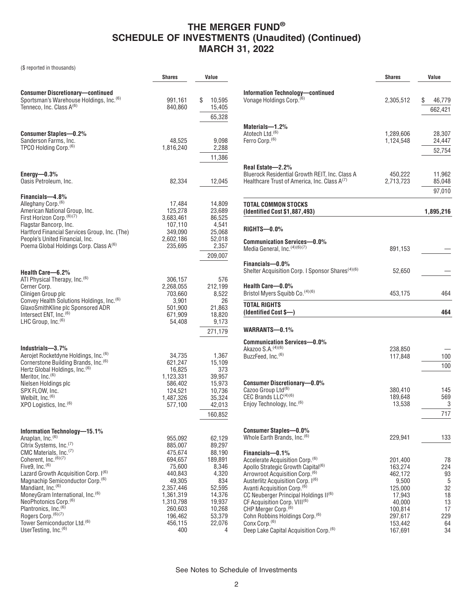(\$ reported in thousands)

|                                                                                                                                                                                                                                                                                                                                                                                                                                                                                                                                                                       | Shares                                                                                                                                                 | Value                                                                                                                           |
|-----------------------------------------------------------------------------------------------------------------------------------------------------------------------------------------------------------------------------------------------------------------------------------------------------------------------------------------------------------------------------------------------------------------------------------------------------------------------------------------------------------------------------------------------------------------------|--------------------------------------------------------------------------------------------------------------------------------------------------------|---------------------------------------------------------------------------------------------------------------------------------|
| <b>Consumer Discretionary-continued</b><br>Sportsman's Warehouse Holdings, Inc. <sup>(6)</sup><br>Tenneco, Inc. Class A <sup>(6)</sup>                                                                                                                                                                                                                                                                                                                                                                                                                                | 991,161<br>840,860                                                                                                                                     | \$<br>10,595<br>15,405<br>65,328                                                                                                |
| <b>Consumer Staples-0.2%</b><br>Sanderson Farms, Inc.<br>TPCO Holding Corp. <sup>(6)</sup>                                                                                                                                                                                                                                                                                                                                                                                                                                                                            | 48,525<br>1,816,240                                                                                                                                    | 9,098<br>2,288<br>11,386                                                                                                        |
| Energy $-0.3\%$<br>Oasis Petroleum, Inc.                                                                                                                                                                                                                                                                                                                                                                                                                                                                                                                              | 82,334                                                                                                                                                 | 12,045                                                                                                                          |
| Financials-4.8%<br>Alleghany Corp. <sup>(6)</sup><br>American National Group, Inc.<br>First Horizon Corp. (6)(7)<br>Flagstar Bancorp, Inc.<br>Hartford Financial Services Group, Inc. (The)<br>People's United Financial, Inc.<br>Poema Global Holdings Corp. Class A(6)                                                                                                                                                                                                                                                                                              | 17,484<br>125,278<br>3,683,461<br>107,110<br>349,090<br>2,602,186<br>235,695                                                                           | 14,809<br>23,689<br>86,525<br>4,541<br>25,068<br>52,018<br>2,357<br>209,007                                                     |
| Health Care-6.2%<br>ATI Physical Therapy, Inc. <sup>(6)</sup><br>Cerner Corp.<br>Clinigen Group plc<br>Convey Health Solutions Holdings, Inc. <sup>(6)</sup><br>GlaxoSmithKline plc Sponsored ADR<br>Intersect ENT, Inc. <sup>(6)</sup><br>LHC Group, Inc. <sup>(6)</sup>                                                                                                                                                                                                                                                                                             | 306,157<br>2,268,055<br>703,660<br>3,901<br>501,900<br>671,909<br>54,408                                                                               | 576<br>212,199<br>8,522<br>26<br>21,863<br>18,820<br>9,173<br>271,179                                                           |
| Industrials-3.7%<br>Aerojet Rocketdyne Holdings, Inc. <sup>(6)</sup><br>Cornerstone Building Brands, Inc. <sup>(6)</sup><br>Hertz Global Holdings, Inc. <sup>(6)</sup><br>Meritor, Inc. <sup>(6)</sup><br>Nielsen Holdings plc<br>SPX FLOW, Inc.<br>Welbilt, Inc. <sup>(6)</sup><br>XPO Logistics, Inc. <sup>(6)</sup>                                                                                                                                                                                                                                                | 34,735<br>621,247<br>16,825<br>1,123,331<br>586,402<br>124,521<br>1,487,326<br>577,100                                                                 | 1,367<br>15,109<br>373<br>39,957<br>15.973<br>10,736<br>35,324<br>42,013<br>160,852                                             |
| Information Technology-15.1%<br>Anaplan, Inc. <sup>(6)</sup><br>Citrix Systems, Inc. <sup>(7)</sup><br>CMC Materials, Inc. <sup>(7)</sup><br>Coherent, Inc. <sup>(6)(7)</sup><br>Five9, $Inc.$ <sup>(6)</sup><br>Lazard Growth Acquisition Corp. I(6)<br>Magnachip Semiconductor Corp. <sup>(6)</sup><br>Mandiant, Inc. <sup>(6)</sup><br>MoneyGram International, Inc. <sup>(6)</sup><br>NeoPhotonics Corp. <sup>(6)</sup><br>Plantronics, Inc. (6)<br>Rogers Corp. <sup>(6)(7)</sup><br>Tower Semiconductor Ltd. <sup>(6)</sup><br>UserTesting, Inc. <sup>(6)</sup> | 955,092<br>885,007<br>475,674<br>694,657<br>75,600<br>440,843<br>49,305<br>2,357,446<br>1,361,319<br>1,310,798<br>260,603<br>196,462<br>456,115<br>400 | 62,129<br>89,297<br>88,190<br>189,891<br>8,346<br>4,320<br>834<br>52,595<br>14,376<br>19,937<br>10,268<br>53,379<br>22,076<br>4 |

|                                                                                                                                                                                                                                                                                                                                                                                                                                                                                                         | <b>Shares</b>                                                                                                     | Value                                                           |
|---------------------------------------------------------------------------------------------------------------------------------------------------------------------------------------------------------------------------------------------------------------------------------------------------------------------------------------------------------------------------------------------------------------------------------------------------------------------------------------------------------|-------------------------------------------------------------------------------------------------------------------|-----------------------------------------------------------------|
| <b>Information Technology-continued</b><br>Vonage Holdings Corp. <sup>(6)</sup>                                                                                                                                                                                                                                                                                                                                                                                                                         | 2,305,512                                                                                                         | \$<br>46,779<br>662,421                                         |
| Materials-1.2%<br>Atotech Ltd. <sup>(6)</sup><br>Ferro Corp. <sup>(6)</sup>                                                                                                                                                                                                                                                                                                                                                                                                                             | 1,289,606<br>1,124,548                                                                                            | 28,307<br>24,447<br>52,754                                      |
| Real Estate-2.2%<br>Bluerock Residential Growth REIT, Inc. Class A<br>Healthcare Trust of America, Inc. Class A <sup>(7)</sup>                                                                                                                                                                                                                                                                                                                                                                          | 450,222<br>2,713,723                                                                                              | 11,962<br>85,048<br>97,010                                      |
| TOTAL COMMON STOCKS<br>(Identified Cost \$1,887,493)                                                                                                                                                                                                                                                                                                                                                                                                                                                    |                                                                                                                   | 1,895,216                                                       |
| RIGHTS-0.0%                                                                                                                                                                                                                                                                                                                                                                                                                                                                                             |                                                                                                                   |                                                                 |
| Communication Services-0.0%<br>Media General, Inc. (4)(6)(7)                                                                                                                                                                                                                                                                                                                                                                                                                                            | 891,153                                                                                                           |                                                                 |
| Financials-0.0%<br>Shelter Acquisition Corp. I Sponsor Shares <sup>(4)(6)</sup>                                                                                                                                                                                                                                                                                                                                                                                                                         | 52,650                                                                                                            |                                                                 |
| Health Care-0.0%<br>Bristol Myers Squibb Co. <sup>(4)(6)</sup>                                                                                                                                                                                                                                                                                                                                                                                                                                          | 453,175                                                                                                           | 464                                                             |
| TOTAL RIGHTS<br>(Identified Cost \$—)                                                                                                                                                                                                                                                                                                                                                                                                                                                                   |                                                                                                                   | 464                                                             |
| WARRANTS-0.1%                                                                                                                                                                                                                                                                                                                                                                                                                                                                                           |                                                                                                                   |                                                                 |
| Communication Services—0.0%<br>Akazoo S.A. (4)(6)<br>BuzzFeed, Inc. <sup>(6)</sup>                                                                                                                                                                                                                                                                                                                                                                                                                      | 238,850<br>117,848                                                                                                | 100<br>100                                                      |
| <b>Consumer Discretionary-0.0%</b><br>Cazoo Group Ltd <sup>(6)</sup><br>CEC Brands LLC <sup>(4)(6)</sup><br>Enjoy Technology, Inc. <sup>(6)</sup>                                                                                                                                                                                                                                                                                                                                                       | 380,410<br>189,648<br>13,538                                                                                      | 145<br>569<br>3<br>717                                          |
| Consumer Staples—0.0%<br>Whole Earth Brands, Inc. <sup>(6)</sup>                                                                                                                                                                                                                                                                                                                                                                                                                                        | 229,941                                                                                                           | 133                                                             |
| Financials-0.1%<br>Accelerate Acquisition Corp. <sup>(6)</sup><br>Apollo Strategic Growth Capital <sup>(6)</sup><br>Arrowroot Acquisition Corp. <sup>(6)</sup><br>Austerlitz Acquisition Corp. I(6)<br>Avanti Acquisition Corp. <sup>(6)</sup><br>CC Neuberger Principal Holdings II(6)<br>CF Acquisition Corp. VIII <sup>(6)</sup><br>CHP Merger Corp. <sup>(6)</sup><br>Cohn Robbins Holdings Corp. <sup>(6)</sup><br>Conx Corp. <sup>(6)</sup><br>Deep Lake Capital Acquisition Corp. <sup>(6)</sup> | 201,400<br>163,274<br>462,172<br>9,500<br>125,000<br>17,943<br>40,000<br>100,814<br>297,617<br>153,442<br>167,691 | 78<br>224<br>93<br>5<br>32<br>18<br>13<br>17<br>229<br>64<br>34 |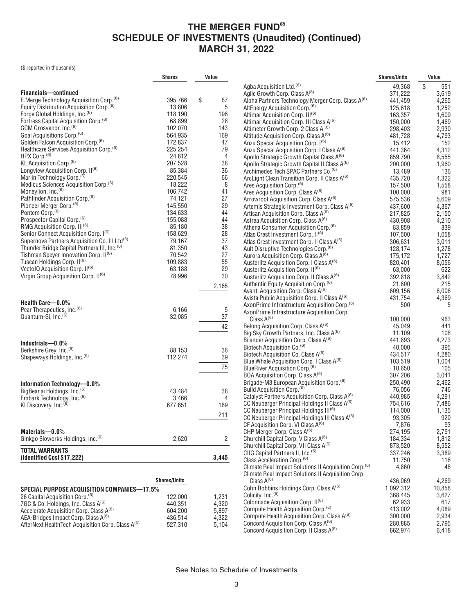(\$ reported in thousands)

|                                                                | <b>Shares</b>       | Value          |                                                                                                              | <b>Shares/Units</b> | Value          |
|----------------------------------------------------------------|---------------------|----------------|--------------------------------------------------------------------------------------------------------------|---------------------|----------------|
|                                                                |                     |                | Agba Acquisition Ltd. <sup>(6)</sup>                                                                         | 49,368              | \$<br>551      |
| <b>Financials-continued</b>                                    |                     |                | Agile Growth Corp. Class A <sup>(6)</sup>                                                                    | 371,222             | 3,619          |
| E.Merge Technology Acquisition Corp. <sup>(6)</sup>            | 395,766             | \$<br>67       | Alpha Partners Technology Merger Corp. Class A <sup>(6)</sup>                                                | 441,459             | 4,265          |
| Equity Distribution Acquisition Corp. <sup>(6)</sup>           | 13,806              | 5              | AltEnergy Acquisition Corp. <sup>(6)</sup>                                                                   | 125,618             | 1,252          |
| Forge Global Holdings, Inc. <sup>(6)</sup>                     | 118,190             | 196            | Altimar Acquisition Corp. III <sup>(6)</sup>                                                                 | 163,357             | 1,609          |
| Fortress Capital Acquisition Corp. <sup>(6)</sup>              | 68,899              | 28             | Altimar Acquisition Corp. III Class A <sup>(6)</sup>                                                         | 150,000             | 1,469          |
| GCM Grosvenor, Inc. <sup>(6)</sup>                             | 102,070             | 143            | Altimeter Growth Corp. 2 Class A (6)                                                                         | 298,403             | 2,930          |
| Goal Acquisitions Corp. <sup>(6)</sup>                         | 564,935             | 169            | Altitude Acquisition Corp. Class A <sup>(6)</sup>                                                            | 481,728             | 4,793          |
| Golden Falcon Acquisition Corp. <sup>(6)</sup>                 | 172,837             | 47             | Anzu Special Acquisition Corp. 1 <sup>(6)</sup>                                                              | 15,412              | 152            |
| Healthcare Services Acquisition Corp. <sup>(6)</sup>           | 225,254             | 79             | Anzu Special Acquisition Corp. I Class A <sup>(6)</sup>                                                      | 441,364             | 4,312          |
| HPX Corp. <sup>(6)</sup>                                       | 24,612              | $\overline{4}$ | Apollo Strategic Growth Capital Class A <sup>(6)</sup>                                                       | 859,790             | 8,555          |
| KL Acquisition Corp. <sup>(6)</sup>                            | 207,528             | 38             | Apollo Strategic Growth Capital II Class A <sup>(6)</sup>                                                    | 200,000             | 1,960          |
| Longview Acquisition Corp. II <sup>(6)</sup>                   | 85,384              | 36             | Archimedes Tech SPAC Partners Co. <sup>(6)</sup>                                                             | 13,489              | 136            |
| Marlin Technology Corp. <sup>(6)</sup>                         | 220,545             | 66             | ArcLight Clean Transition Corp. II Class A <sup>(6)</sup>                                                    | 435,720             | 4,322          |
| Medicus Sciences Acquisition Corp. <sup>(6)</sup>              | 18,222              | 8              | Ares Acquisition Corp. <sup>(6)</sup>                                                                        | 157,500             | 1,558          |
| Moneylion, Inc. <sup>(6)</sup>                                 | 106,742             | 41             | Ares Acquisition Corp. Class A <sup>(6)</sup>                                                                | 100,000             | 981            |
| Pathfinder Acquisition Corp. <sup>(6)</sup>                    | 74,121              | 27             | Arrowroot Acquisition Corp. Class A <sup>(6)</sup>                                                           | 575,536             | 5,609          |
| Pioneer Merger Corp. <sup>(6)</sup>                            | 145,550             | 29             | Artemis Strategic Investment Corp. Class A <sup>(6)</sup>                                                    | 437,600             | 4,367          |
| Pontem Corp. <sup>(6)</sup>                                    | 134,633             | 44             | Artisan Acquisition Corp. Class A <sup>(6)</sup>                                                             | 217,825             | 2,150          |
| Prospector Capital Corp. <sup>(6)</sup>                        | 155,088             | 44             | Astrea Acquisition Corp. Class A <sup>(6)</sup>                                                              | 430,908             | 4,210          |
| RMG Acquisition Corp. III <sup>(6)</sup>                       | 85,180              | 38             | Athena Consumer Acquisition Corp. <sup>(6)</sup>                                                             | 83,859              | 839            |
| Senior Connect Acquisition Corp. I <sup>(6)</sup>              | 158,629             | 28             | Atlas Crest Investment Corp. II <sup>(6)</sup>                                                               | 107,500             | 1,058          |
| Supernova Partners Acquisition Co. III Ltd <sup>(6)</sup>      | 79,167              | 37             | Atlas Crest Investment Corp. II Class A <sup>(6)</sup>                                                       | 306,631             | 3,011          |
| Thunder Bridge Capital Partners III, Inc. <sup>(6)</sup>       | 81,350              | 43             | Ault Disruptive Technologies Corp. <sup>(6)</sup>                                                            | 128,174             | 1,278          |
| Tishman Speyer Innovation Corp. II <sup>(6)</sup>              | 70,542              | 27             | Aurora Acquisition Corp. Class A <sup>(6)</sup>                                                              | 175,172             | 1,727          |
| Tuscan Holdings Corp. II <sup>(6)</sup>                        | 109,883             | 55             | Austerlitz Acquisition Corp. I Class A <sup>(6)</sup>                                                        | 820,401             | 8,056          |
| VectolQ Acquisition Corp. II <sup>(6)</sup>                    | 63,188              | 29             | Austerlitz Acquisition Corp. II <sup>(6)</sup>                                                               | 63,000              | 622            |
| Virgin Group Acquisition Corp. II <sup>(6)</sup>               | 78,996              | 30             | Austerlitz Acquisition Corp. II Class A <sup>(6)</sup>                                                       | 392,818             | 3,842          |
|                                                                |                     | 2,165          | Authentic Equity Acquisition Corp. <sup>(6)</sup>                                                            | 21,600              | 215            |
|                                                                |                     |                | Avanti Acquisition Corp. Class A <sup>(6)</sup>                                                              | 609,156             | 6,006          |
| Health Care-0.0%                                               |                     |                | Avista Public Acquisition Corp. II Class A(6)                                                                | 431,754             | 4,369          |
| Pear Therapeutics, Inc. <sup>(6)</sup>                         | 6,166               | 5              | AxonPrime Infrastructure Acquisition Corp. <sup>(6)</sup>                                                    | 500                 | 5              |
| Quantum-Si, Inc. <sup>(6)</sup>                                | 32,085              | 37             | AxonPrime Infrastructure Acquisition Corp.                                                                   |                     |                |
|                                                                |                     |                | Class $A^{(6)}$                                                                                              | 100,000             | 963            |
|                                                                |                     | 42             | Belong Acquisition Corp. Class A(6)                                                                          | 45,049              | 441            |
|                                                                |                     |                | Big Sky Growth Partners, Inc. Class A <sup>(6)</sup>                                                         | 11,109              | 108            |
| Industrials-0.0%                                               |                     |                | Bilander Acquisition Corp. Class A <sup>(6)</sup>                                                            | 441,893             | 4,273          |
| Berkshire Grey, Inc. <sup>(6)</sup>                            | 88,153              | 36             | Biotech Acquisition Co. <sup>(6)</sup>                                                                       | 40,000              | 395            |
| Shapeways Holdings, Inc. <sup>(6)</sup>                        | 112,274             | 39             | Biotech Acquisition Co. Class A <sup>(6)</sup>                                                               | 434,517             | 4,280          |
|                                                                |                     | 75             | Blue Whale Acquisition Corp. I Class A <sup>(6)</sup>                                                        | 103,519             | 1,004          |
|                                                                |                     |                | BlueRiver Acquisition Corp. <sup>(6)</sup>                                                                   | 10,650              | 105            |
|                                                                |                     |                | BOA Acquisition Corp. Class A <sup>(6)</sup>                                                                 | 307,206             | 3,041          |
| Information Technology-0.0%                                    |                     |                | Brigade-M3 European Acquisition Corp. <sup>(6)</sup>                                                         | 250,490             | 2,462          |
| BigBear.ai Holdings, Inc. <sup>(6)</sup>                       | 43,484              | 38             | Build Acquisition Corp. <sup>(6)</sup>                                                                       | 76,056              | 746            |
| Embark Technology, Inc. <sup>(6)</sup>                         | 3,466               | 4              | Catalyst Partners Acquisition Corp. Class A <sup>(6)</sup>                                                   | 440,985<br>754,616  | 4,291<br>7,486 |
| KLDiscovery, Inc. <sup>(6)</sup>                               | 677,651             | 169            | CC Neuberger Principal Holdings II Class A <sup>(6)</sup>                                                    | 114,000             | 1,135          |
|                                                                |                     | 211            | CC Neuberger Principal Holdings III <sup>(6)</sup>                                                           | 93,305              | 920            |
|                                                                |                     |                | CC Neuberger Principal Holdings III Class A <sup>(6)</sup><br>CF Acquisition Corp. VI Class A <sup>(6)</sup> | 7,876               | 93             |
| Materials-0.0%                                                 |                     |                | CHP Merger Corp. Class A <sup>(6)</sup>                                                                      | 274,195             | 2,791          |
| Ginkgo Bioworks Holdings, Inc. <sup>(6)</sup>                  | 2,620               | 2              | Churchill Capital Corp. V Class A <sup>(6)</sup>                                                             | 184,334             | 1,812          |
|                                                                |                     |                | Churchill Capital Corp. VII Class A <sup>(6)</sup>                                                           | 873,520             | 8,552          |
| <b>TOTAL WARRANTS</b>                                          |                     |                | CIIG Capital Partners II, Inc. <sup>(6)</sup>                                                                | 337,246             | 3,389          |
| (Identified Cost \$17,222)                                     |                     | 3,445          | Class Acceleration Corp. <sup>(6)</sup>                                                                      | 11,750              | 116            |
|                                                                |                     |                | Climate Real Impact Solutions II Acquisition Corp. <sup>(6)</sup>                                            | 4,860               | 48             |
|                                                                |                     |                | Climate Real Impact Solutions II Acquisition Corp.                                                           |                     |                |
|                                                                | <b>Shares/Units</b> |                | Class $A^{(6)}$                                                                                              | 436,069             | 4,269          |
| <b>SPECIAL PURPOSE ACQUISITION COMPANIES-17.5%</b>             |                     |                | Cohn Robbins Holdings Corp. Class A <sup>(6)</sup>                                                           | 1,092,312           | 10,858         |
| 26 Capital Acquisition Corp. <sup>(6)</sup>                    | 122,000             | 1,231          | Colicity, Inc. <sup>(6)</sup>                                                                                | 368,445             | 3,627          |
| 7GC & Co. Holdings, Inc. Class A <sup>(6)</sup>                | 440,351             | 4,320          | Colonnade Acquisition Corp. II <sup>(6)</sup>                                                                | 62,933              | 617            |
| Accelerate Acquisition Corp. Class A <sup>(6)</sup>            | 604,200             | 5,897          | Compute Health Acquisition Corp. <sup>(6)</sup>                                                              | 413,002             | 4,089          |
| AEA-Bridges Impact Corp. Class A <sup>(6)</sup>                | 436,514             | 4,322          | Compute Health Acquisition Corp. Class A <sup>(6)</sup>                                                      | 300,000             | 2,934          |
| AfterNext Health Tech Acquisition Corp. Class A <sup>(6)</sup> | 527,310             | 5,104          | Concord Acquisition Corp. Class A <sup>(6)</sup>                                                             | 280,885             | 2,795          |
|                                                                |                     |                | Concord Acquisition Corp. II Class A <sup>(6)</sup>                                                          | 662,974             | 6,418          |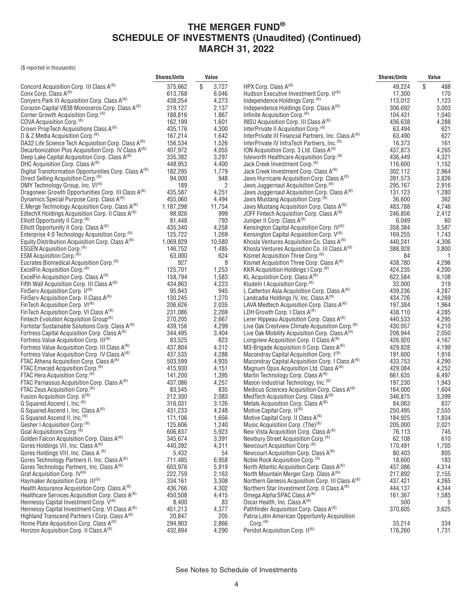(\$ reported in thousands)

|                                                                                                            | <b>Shares/Units</b> | Value          |                                                                                                     | <b>Shares/Units</b> | Value          |
|------------------------------------------------------------------------------------------------------------|---------------------|----------------|-----------------------------------------------------------------------------------------------------|---------------------|----------------|
| Concord Acquisition Corp. III Class A <sup>(6)</sup>                                                       | 375,662             | \$<br>3,727    | HPX Corp. Class A <sup>(6)</sup>                                                                    | 49.224              | \$<br>488      |
| Conx Corp. Class A(6)                                                                                      | 613,768             | 6,046          | Hudson Executive Investment Corp. II(6)                                                             | 17,300              | 170            |
| Conyers Park III Acquisition Corp. Class A <sup>(6)</sup>                                                  | 438,254             | 4,273          | Independence Holdings Corp. <sup>(6)</sup>                                                          | 113,012             | 1,123          |
| Corazon Capital V838 Monoceros Corp. Class A(6)                                                            | 219,127             | 2,137          | Independence Holdings Corp. Class A <sup>(6)</sup>                                                  | 306,692             | 3,003          |
| Corner Growth Acquisition Corp. <sup>(6)</sup>                                                             | 188,816             | 1,867          | Infinite Acquisition Corp. <sup>(6)</sup>                                                           | 104,431             | 1,040          |
| COVA Acquisition Corp. <sup>(6)</sup>                                                                      | 162,199             | 1,601          | INSU Acquisition Corp. III Class A <sup>(6)</sup>                                                   | 436,638             | 4,288          |
| Crown PropTech Acquisitions Class A <sup>(6)</sup>                                                         | 435,176             | 4,300          | InterPrivate II Acquisition Corp. <sup>(6)</sup>                                                    | 63,494              | 621            |
| D & Z Media Acquisition Corp. <sup>(6)</sup>                                                               | 167,214             | 1,642          | InterPrivate III Financial Partners, Inc. Class A <sup>(6)</sup>                                    | 63,490              | 627            |
| DA32 Life Science Tech Acquisition Corp. Class A <sup>(6)</sup>                                            | 156,534             | 1,526          | InterPrivate IV InfraTech Partners, Inc. <sup>(6)</sup>                                             | 16,373              | 161            |
| Decarbonization Plus Acquisition Corp. IV Class A <sup>(6)</sup>                                           | 407,972             | 4,055          | ION Acquisition Corp. 3 Ltd. Class A <sup>(6)</sup>                                                 | 437,873             | 4,265          |
| Deep Lake Capital Acquisition Corp. Class A <sup>(6)</sup>                                                 | 335,382             | 3,297          | Isleworth Healthcare Acquisition Corp. <sup>(6)</sup>                                               | 436,449             | 4,321          |
| DHC Acquisition Corp. Class A <sup>(6)</sup>                                                               | 448,953             | 4,400          | Jack Creek Investment Corp. <sup>(6)</sup>                                                          | 116,600             | 1,152          |
| Digital Transformation Opportunities Corp. Class A <sup>(6)</sup>                                          | 182,295             | 1,779          | Jack Creek Investment Corp. Class A <sup>(6)</sup>                                                  | 302,112             | 2,964          |
| Direct Selling Acquisition Corp. <sup>(6)</sup>                                                            | 94,000              | 948            | Jaws Hurricane Acquisition Corp. Class A <sup>(6)</sup>                                             | 391,573             | 3,826          |
| DMY Technology Group, Inc. VI <sup>(6)</sup>                                                               | 189                 | $\overline{2}$ | Jaws Juggernaut Acquisition Corp. <sup>(6)</sup>                                                    | 295.167             | 2,916          |
| Dragoneer Growth Opportunities Corp. III Class A <sup>(6)</sup>                                            | 435,587             | 4,251          | Jaws Juggernaut Acquisition Corp. Class A <sup>(6)</sup>                                            | 131,123             | 1,280          |
| Dynamics Special Purpose Corp. Class A <sup>(6)</sup>                                                      | 455,060             | 4,494          | Jaws Mustang Acquisition Corp. <sup>(6)</sup>                                                       | 36,600              | 362            |
| E.Merge Technology Acquisition Corp. Class A <sup>(6)</sup>                                                | 1,187,298           | 11,754         | Jaws Mustang Acquisition Corp. Class A <sup>(6)</sup>                                               | 483,788             | 4,746          |
| EdtechX Holdings Acquisition Corp. II Class A <sup>(6)</sup>                                               | 98,926              | 999            | JOFF Fintech Acquisition Corp. Class A <sup>(6)</sup>                                               | 246,856             | 2,412          |
| Elliott Opportunity II Corp. <sup>(6)</sup>                                                                | 81,448              | 793            | Juniper II Corp. Class A <sup>(6)</sup>                                                             | 6,049               | 60             |
| Elliott Opportunity II Corp. Class A <sup>(6)</sup>                                                        | 435,340             | 4,258          | Kensington Capital Acquisition Corp. IV <sup>(6)</sup>                                              | 358,384             | 3,587          |
| Enterprise 4.0 Technology Acquisition Corp. <sup>(6)</sup>                                                 | 125,722             | 1,269          | Kensington Capital Acquisition Corp. V <sup>(6)</sup>                                               | 169,255             | 1,743          |
| Equity Distribution Acquisition Corp. Class $A^{(6)}$                                                      | 1,069,829           | 10,580         | Khosla Ventures Acquisition Co. Class $A^{(6)}$                                                     | 440,241             | 4,306          |
| <b>ESGEN Acquisition Corp.</b> <sup>(6)</sup>                                                              | 146,752             | 1,485          | Khosla Ventures Acquisition Co. III Class A <sup>(6)</sup>                                          | 388,928             | 3,800          |
| ESM Acquisition Corp. (6)                                                                                  | 63,000              | 624            | Kismet Acquisition Three Corp. <sup>(6)</sup>                                                       | 84                  | $\overline{1}$ |
| Eucrates Biomedical Acquisition Corp. <sup>(6)</sup>                                                       | 927                 | 9              | Kismet Acquisition Three Corp. Class A <sup>(6)</sup>                                               | 438,780             | 4,296          |
| ExcelFin Acquisition Corp. <sup>(6)</sup>                                                                  | 125,701             | 1,253          | KKR Acquisition Holdings I Corp. <sup>(6)</sup>                                                     | 424,235             | 4,200          |
| ExcelFin Acquisition Corp. Class A(6)                                                                      | 158,794<br>434,863  | 1,583          | KL Acquisition Corp. Class $A^{(6)}$                                                                | 622,584<br>32,000   | 6,108<br>319   |
| Fifth Wall Acquisition Corp. III Class A <sup>(6)</sup><br>FinServ Acquisition Corp. II <sup>(6)</sup>     | 95,843              | 4,223<br>945   | Kludeln I Acquisition Corp. <sup>(6)</sup><br>L Catterton Asia Acquisition Corp. Class $A^{(6)}$    | 439,236             |                |
| FinServ Acquisition Corp. II Class $A^{(6)}$                                                               | 130,245             | 1,270          | Landcadia Holdings IV, Inc. Class $A^{(6)}$                                                         | 434,726             | 4,287<br>4,269 |
| FinTech Acquisition Corp. VI <sup>(6)</sup>                                                                | 206,626             | 2,035          | LAVA Medtech Acquisition Corp. Class $A^{(6)}$                                                      | 197,384             | 1,964          |
| FinTech Acquisition Corp. VI Class A <sup>(6)</sup>                                                        | 231,086             | 2,269          | LDH Growth Corp. I Class $A^{(6)}$                                                                  | 438,110             | 4,285          |
| Fintech Evolution Acquisition Group <sup>(6)</sup>                                                         | 270,205             | 2,667          | Lerer Hippeau Acquisition Corp. Class A <sup>(6)</sup>                                              | 440,533             | 4,295          |
| Fortistar Sustainable Solutions Corp. Class A <sup>(6)</sup>                                               | 439,156             | 4,299          | Live Oak Crestview Climate Acquisition Corp. <sup>(6)</sup>                                         | 430,057             | 4,210          |
| Fortress Capital Acquisition Corp. Class A <sup>(6)</sup>                                                  | 344,495             | 3,404          | Live Oak Mobility Acquisition Corp. Class $A^{(6)}$                                                 | 208,944             | 2,050          |
| Fortress Value Acquisition Corp. III <sup>(6)</sup>                                                        | 83,525              | 823            | Longview Acquisition Corp. II Class A <sup>(6)</sup>                                                | 426,920             | 4,167          |
| Fortress Value Acquisition Corp. III Class A <sup>(6)</sup>                                                | 437,804             | 4,312          | M3-Brigade Acquisition II Corp. Class A <sup>(6)</sup>                                              | 429,828             | 4,199          |
| Fortress Value Acquisition Corp. IV Class A <sup>(6)</sup>                                                 | 437,535             | 4,288          | Macondray Capital Acquisition Corp. I <sup>(6)</sup>                                                | 191,600             | 1,916          |
| FTAC Athena Acquisition Corp. Class A <sup>(6)</sup>                                                       | 503,599             | 4,935          | Macondray Capital Acquisition Corp. I Class A <sup>(6)</sup>                                        | 433,753             | 4,290          |
| FTAC Emerald Acquisition Corp. <sup>(6)</sup>                                                              | 415,930             | 4,151          | Magnum Opus Acquisition Ltd. Class $A^{(6)}$                                                        | 429,084             | 4,252          |
| FTAC Hera Acquisition Corp. <sup>(6)</sup>                                                                 | 141,200             | 1,395          | Marlin Technology Corp. Class A <sup>(6)</sup>                                                      | 661,635             | 6,497          |
| FTAC Parnassus Acquisition Corp. Class A <sup>(6)</sup>                                                    | 437,086             | 4,257          | Mason Industrial Technology, Inc. <sup>(6)</sup>                                                    | 197,230             | 1,943          |
| FTAC Zeus Acquisition Corp. <sup>(6)</sup>                                                                 | 83,545              | 835            | Medicus Sciences Acquisition Corp. Class A <sup>(6)</sup>                                           | 164,000             | 1,604          |
| Fusion Acquisition Corp. II <sup>(6)</sup>                                                                 | 212,300             | 2,083          | MedTech Acquisition Corp. Class A <sup>(6)</sup>                                                    | 346,875             | 3,399          |
| G Squared Ascend I, Inc. (6)                                                                               | 316,031             | 3,126          | Metals Acquisition Corp. Class A <sup>(6)</sup>                                                     | 84,063              | 837            |
| G Squared Ascend I, Inc. Class A <sup>(6)</sup>                                                            | 431,233             | 4,248          | Motive Capital Corp. II(6)                                                                          | 250,495             | 2,555          |
| G Squared Ascend II, Inc. <sup>(6)</sup>                                                                   | 171,106             | 1,656          | Motive Capital Corp. II Class A(6)                                                                  | 184,925             | 1,834          |
| Gesher I Acquisition Corp. <sup>(6)</sup>                                                                  | 125.606             | 1.240          | Music Acquisition Corp. (The) <sup>(6)</sup>                                                        | 205,000             | 2,021          |
| Goal Acquisitions Corp. <sup>(6)</sup>                                                                     | 606,837             | 5,923          | New Vista Acquisition Corp. Class A <sup>(6)</sup>                                                  | 76,113              | 745            |
| Golden Falcon Acquisition Corp. Class A <sup>(6)</sup>                                                     | 345,674             | 3,391          | Newbury Street Acquisition Corp. <sup>(6)</sup>                                                     | 62,108              | 610            |
| Gores Holdings VII, Inc. Class A <sup>(6)</sup>                                                            | 440,392             | 4,311          | Newcourt Acquisition Corp. <sup>(6)</sup>                                                           | 170,491             | 1,705          |
| Gores Holdings VIII, Inc. Class A (6)                                                                      | 5,432               | 54             | Newcourt Acquisition Corp. Class A <sup>(6)</sup>                                                   | 80,403              | 805            |
| Gores Technology Partners II, Inc. Class A <sup>(6)</sup>                                                  | 711,485             | 6,958          | Noble Rock Acquisition Corp. <sup>(6)</sup>                                                         | 18,600              | 183            |
| Gores Technology Partners, Inc. Class A <sup>(6)</sup>                                                     | 603,976             | 5,919          | North Atlantic Acquisition Corp. Class A <sup>(6)</sup>                                             | 437,086             | 4,314          |
| Graf Acquisition Corp. IV(6)                                                                               | 222,759             | 2,163          | North Mountain Merger Corp. Class A <sup>(6)</sup>                                                  | 217,892             | 2,155          |
| Haymaker Acquisition Corp. III <sup>(6)</sup><br>Health Assurance Acquisition Corp. Class A <sup>(6)</sup> | 334,161             | 3,308          | Northern Genesis Acquisition Corp. III Class A <sup>(6)</sup>                                       | 437,421             | 4,265          |
| Healthcare Services Acquisition Corp. Class A <sup>(6)</sup>                                               | 436,766<br>450,508  | 4,302          | Northern Star Investment Corp. II Class A <sup>(6)</sup><br>Omega Alpha SPAC Class A <sup>(6)</sup> | 444,137<br>161,367  | 4,344<br>1,585 |
| Hennessy Capital Investment Corp. V <sup>(6)</sup>                                                         | 8,400               | 4,415<br>83    | Oscar Health, Inc. Class A <sup>(6)</sup>                                                           | 500                 | 5              |
| Hennessy Capital Investment Corp. VI Class A <sup>(6)</sup>                                                | 451,213             | 4,377          | Pathfinder Acquisition Corp. Class A <sup>(6)</sup>                                                 | 370,605             | 3,625          |
| Highland Transcend Partners I Corp. Class A <sup>(6)</sup>                                                 | 20,847              | 205            | Patria Latin American Opportunity Acquisition                                                       |                     |                |
| Home Plate Acquisition Corp. Class A <sup>(6)</sup>                                                        | 294,903             | 2,866          | Corp. <sup>(6)</sup>                                                                                | 33,214              | 334            |
| Horizon Acquisition Corp. II Class A <sup>(6)</sup>                                                        | 432,894             | 4,290          | Peridot Acquisition Corp. II <sup>(6)</sup>                                                         | 176,260             | 1,731          |
|                                                                                                            |                     |                |                                                                                                     |                     |                |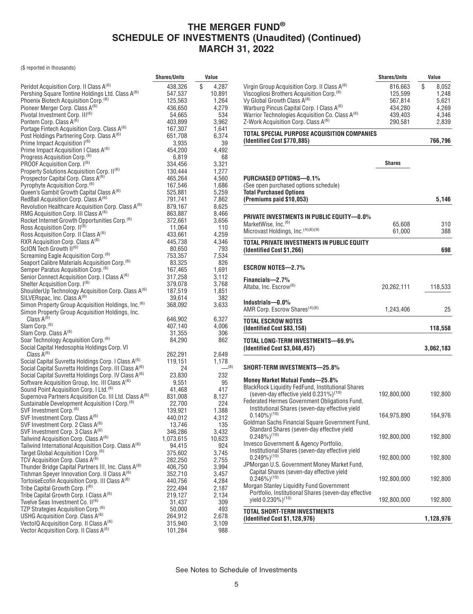(\$ reported in thousands)

|                                                                    | <b>Shares/Units</b> | Value       |
|--------------------------------------------------------------------|---------------------|-------------|
| Peridot Acquisition Corp. II Class A <sup>(6)</sup>                | 438,326             | \$<br>4,287 |
| Pershing Square Tontine Holdings Ltd. Class A(6)                   | 547,537             | 10,891      |
| Phoenix Biotech Acquisition Corp. <sup>(6)</sup>                   | 125,563             | 1,264       |
| Pioneer Merger Corp. Class A <sup>(6)</sup>                        | 436,650             | 4,279       |
| Pivotal Investment Corp. III <sup>(6)</sup>                        | 54,665              | 534         |
| Pontem Corp. Class A <sup>(6)</sup>                                | 403,899             | 3,962       |
| Portage Fintech Acquisition Corp. Class A(6)                       | 167,307             | 1.641       |
| Post Holdings Partnering Corp. Class A(6)                          | 651,708             | 6,374       |
| Prime Impact Acquisition (6)                                       | 3,935               | 39          |
| Prime Impact Acquisition I Class A <sup>(6)</sup>                  | 454,200             | 4,492       |
| Progress Acquisition Corp. <sup>(6)</sup>                          | 6,819               | 68          |
| PROOF Acquisition Corp. 1 <sup>(6)</sup>                           | 334,456             | 3,321       |
| Property Solutions Acquisition Corp. II(6)                         | 130,444             | 1,277       |
| Prospector Capital Corp. Class A <sup>(6)</sup>                    | 465,264             | 4,560       |
| Pyrophyte Acquisition Corp. <sup>(b)</sup>                         | 167,546             | 1,686       |
| Queen's Gambit Growth Capital Class A <sup>(6)</sup>               | 525,881             | 5,259       |
| RedBall Acquisition Corp. Class A <sup>(6)</sup>                   | 791,741             | 7,862       |
| Revolution Healthcare Acquisition Corp. Class A <sup>(6)</sup>     | 879,167             | 8,625       |
| RMG Acquisition Corp. III Class A <sup>(6)</sup>                   | 863,887             | 8,466       |
| Rocket Internet Growth Opportunities Corp. <sup>(6)</sup>          | 372,661             | 3,656       |
| Ross Acquisition Corp. II <sup>(6)</sup>                           | 11,064              | 110         |
| Ross Acquisition Corp. II Class A <sup>(6)</sup>                   | 433,661             | 4,259       |
| RXR Acquisition Corp. Class A <sup>(6)</sup>                       | 445,738             | 4,346       |
| ScION Tech Growth II <sup>(6)</sup>                                | 80,650              | 793         |
| Screaming Eagle Acquisition Corp. <sup>(6)</sup>                   | 753,357             | 7,534       |
| Seaport Calibre Materials Acquisition Corp. <sup>(6)</sup>         | 83,325              | 826         |
| Semper Paratus Acquisition Corp. <sup>(6)</sup>                    | 167,465             | 1,691       |
| Senior Connect Acquisition Corp. I Class A(6)                      | 317,258             | 3,112       |
| Shelter Acquisition Corp. 1 <sup>(6)</sup>                         | 379,078             | 3,768       |
| ShoulderUp Technology Acquisition Corp. Class A(6)                 | 187,519             | 1,851       |
| SILVERspac, Inc. Class A <sup>(6)</sup>                            | 39,614              | 382         |
| Simon Property Group Acquisition Holdings, Inc. <sup>(6)</sup>     | 368,092             | 3,633       |
| Simon Property Group Acquisition Holdings, Inc.<br>Class $A^{(6)}$ |                     | 6,327       |
| Slam Corp. <sup>(6)</sup>                                          | 646,902<br>407,140  | 4,006       |
| Slam Corp. Class A(6)                                              | 31,355              | 306         |
| Soar Technology Acquisition Corp. <sup>(6)</sup>                   | 84,290              | 862         |
| Social Capital Hedosophia Holdings Corp. VI                        |                     |             |
| Class $A^{(6)}$                                                    | 262,291             | 2,649       |
| Social Capital Suvretta Holdings Corp. I Class A <sup>(6)</sup>    | 119,151             | 1,178       |
| Social Capital Suvretta Holdings Corp. III Class A <sup>(6)</sup>  | 24                  | (8)         |
| Social Capital Suvretta Holdings Corp. IV Class A <sup>(6)</sup>   | 23,830              | 232         |
| Software Acquisition Group, Inc. III Class A <sup>(6)</sup>        | 9,551               | 95          |
| Sound Point Acquisition Corp. I Ltd. <sup>(6)</sup>                | 41,468              | 417         |
| Supernova Partners Acquisition Co. III Ltd. Class A <sup>(6)</sup> | 831,008             | 8,127       |
| Sustainable Development Acquisition I Corp. <sup>(6)</sup>         | 22,700              | 224         |
| SVF Investment Corp. <sup>(6)</sup>                                | 139,921             | 1,388       |
| SVF Investment Corp. Class A <sup>(6)</sup>                        | 440,012             | 4,312       |
| SVF Investment Corp. 2 Class A(6)                                  | 13,746              | 135         |
| SVF Investment Corp. 3 Class A <sup>(6)</sup>                      | 346,286             | 3,432       |
| Tailwind Acquisition Corp. Class A(6)                              | 1,073,615           | 10,623      |
| Tailwind International Acquisition Corp. Class A(6)                | 94,415              | 924         |
| Target Global Acquisition I Corp. <sup>(6)</sup>                   | 375,602             | 3,745       |
| TCV Acquisition Corp. Class A <sup>(6)</sup>                       | 282,250             | 2,755       |
| Thunder Bridge Capital Partners III, Inc. Class A <sup>(6)</sup>   | 406,750             | 3,994       |
| Tishman Speyer Innovation Corp. II Class A <sup>(6)</sup>          | 352,710             | 3,457       |
| TortoiseEcofin Acquisition Corp. III Class A <sup>(6)</sup>        | 440,756             | 4,284       |
| Tribe Capital Growth Corp. I <sup>(6)</sup>                        | 222,494             | 2,187       |
| Tribe Capital Growth Corp. I Class A <sup>(6)</sup>                | 219,127             | 2,134       |
| Twelve Seas Investment Co. II(6)                                   | 31,437              | 309         |
| TZP Strategies Acquisition Corp. <sup>(6)</sup>                    | 50,000              | 493         |
| USHG Acquisition Corp. Class A <sup>(6)</sup>                      | 264,912             | 2,678       |
| Vectol Q Acquisition Corp. II Class A <sup>(6)</sup>               | 315,940             | 3,109       |
| Vector Acquisition Corp. II Class A <sup>(6)</sup>                 | 101,284             | 988         |

|                                                                                                         | <b>Shares/Units</b> | Value          |
|---------------------------------------------------------------------------------------------------------|---------------------|----------------|
| Virgin Group Acquisition Corp. II Class A <sup>(6)</sup>                                                | 816,663             | \$<br>8,052    |
| Viscogliosi Brothers Acquisition Corp. <sup>(6)</sup>                                                   | 125,599             | 1,248          |
| Vy Global Growth Class A <sup>(6)</sup><br>Warburg Pincus Capital Corp. I Class A <sup>(6)</sup>        | 567,814<br>434,280  | 5,621<br>4,269 |
| Warrior Technologies Acquisition Co. Class A <sup>(6)</sup>                                             | 439,403             | 4,346          |
| Z-Work Acquisition Corp. Class A <sup>(6)</sup>                                                         | 290,581             | 2,839          |
| TOTAL SPECIAL PURPOSE ACQUISITION COMPANIES<br>(Identified Cost \$770,885)                              |                     | 766,796        |
|                                                                                                         |                     |                |
|                                                                                                         | Shares              |                |
| PURCHASED OPTIONS-0.1%                                                                                  |                     |                |
| (See open purchased options schedule)<br><b>Total Purchased Options</b>                                 |                     |                |
| (Premiums paid \$10,053)                                                                                |                     | 5,146          |
|                                                                                                         |                     |                |
| <b>PRIVATE INVESTMENTS IN PUBLIC EQUITY—0.0%</b><br>MarketWise, Inc. <sup>(6)</sup>                     | 65,608              | 310            |
| Microvast Holdings, Inc. (4)(6)(9)                                                                      | 61,000              | 388            |
| TOTAL PRIVATE INVESTMENTS IN PUBLIC EQUITY<br>(Identified Cost \$1,266)                                 |                     | 698            |
|                                                                                                         |                     |                |
| ESCROW NOTES—2.7%                                                                                       |                     |                |
| Financials-2.7%                                                                                         |                     |                |
| Altaba, Inc. Escrow <sup>(6)</sup>                                                                      | 20,262,111          | 118,533        |
| Industrials-0.0%                                                                                        |                     |                |
| AMR Corp. Escrow Shares <sup>(4)(6)</sup>                                                               | 1,243,406           | 25             |
| <b>TOTAL ESCROW NOTES</b><br>(Identified Cost \$83,158)                                                 |                     | 118,558        |
| TOTAL LONG-TERM INVESTMENTS—69.9%                                                                       |                     |                |
| (Identified Cost \$3,048,457)                                                                           |                     | 3,062,183      |
| SHORT-TERM INVESTMENTS-25.8%                                                                            |                     |                |
| Money Market Mutual Funds-25.8%                                                                         |                     |                |
| <b>BlackRock Liquidity FedFund, Institutional Shares</b>                                                |                     |                |
| (seven-day effective yield $0.231\%$ ) <sup>(10)</sup><br>Federated Hermes Government Obligations Fund, | 192,800,000         | 192,800        |
| Institutional Shares (seven-day effective yield                                                         |                     |                |
| $0.140\%)^{(10)}$                                                                                       | 164,975,890         | 164,976        |
| Goldman Sachs Financial Square Government Fund,<br>Standard Shares (seven-day effective yield           |                     |                |
| $0.248\%$ <sup>(10)</sup>                                                                               | 192,800,000         | 192,800        |
| Invesco Government & Agency Portfolio,<br>Institutional Shares (seven-day effective yield               |                     |                |
| $0.249\%)^{(10)}$                                                                                       | 192,800,000         | 192,800        |
| JPMorgan U.S. Government Money Market Fund,                                                             |                     |                |
| Capital Shares (seven-day effective yield                                                               |                     |                |
| $0.246\%)^{(10)}$<br><b>Morgan Stanley Liquidity Fund Government</b>                                    | 192,800,000         | 192,800        |
| Portfolio, Institutional Shares (seven-day effective                                                    |                     |                |
| yield 0.230%) <sup>(10)</sup>                                                                           | 192,800,000         | 192,800        |
| TOTAL SHORT-TERM INVESTMENTS<br>(Identified Cost \$1,128,976)                                           |                     | 1,128,976      |
|                                                                                                         |                     |                |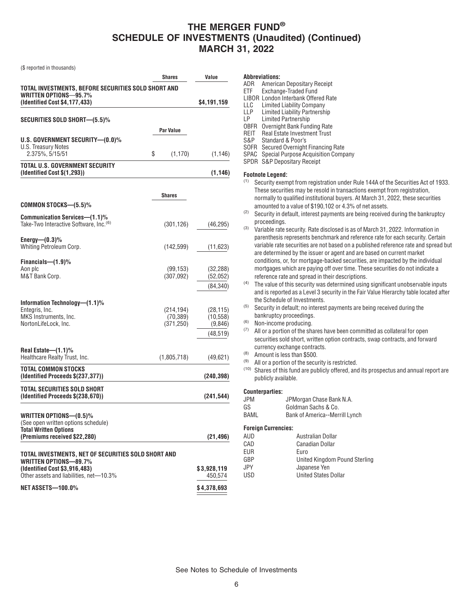(\$ reported in thousands)

|                                                                                     | Shares                  | Value                  |
|-------------------------------------------------------------------------------------|-------------------------|------------------------|
| TOTAL INVESTMENTS, BEFORE SECURITIES SOLD SHORT AND                                 |                         |                        |
| WRITTEN OPTIONS-95.7%<br>(Identified Cost \$4,177,433)                              |                         | \$4,191,159            |
| SECURITIES SOLD SHORT—(5.5)%                                                        |                         |                        |
|                                                                                     | Par Value               |                        |
| U.S. GOVERNMENT SECURITY-(0.0)%                                                     |                         |                        |
| U.S. Treasury Notes<br>2.375%, 5/15/51                                              | \$<br>(1, 170)          | (1, 146)               |
| <b>TOTAL U.S. GOVERNMENT SECURITY</b><br>(Identified Cost \$(1,293))                |                         | (1, 146)               |
|                                                                                     | Shares                  |                        |
| COMMON STOCKS-(5.5)%                                                                |                         |                        |
| Communication Services-(1.1)%<br>Take-Two Interactive Software, Inc. <sup>(6)</sup> | (301, 126)              | (46, 295)              |
| Energy— $(0.3)$ %<br>Whiting Petroleum Corp.                                        | (142, 599)              | (11, 623)              |
|                                                                                     |                         |                        |
| Financials-(1.9)%<br>Aon plc                                                        | (99, 153)               | (32, 288)              |
| M&T Bank Corp.                                                                      | (307,092)               | (52,052)               |
|                                                                                     |                         | (84, 340)              |
| Information Technology-(1.1)%                                                       |                         |                        |
| Entegris, Inc.<br>MKS Instruments, Inc.                                             | (214, 194)<br>(70, 389) | (28, 115)<br>(10, 558) |
| NortonLifeLock, Inc.                                                                | (371, 250)              | (9,846)                |
|                                                                                     |                         | (48, 519)              |
| Real Estate— $(1.1)$ %<br>Healthcare Realty Trust, Inc.                             |                         |                        |
|                                                                                     | (1,805,718)             | (49, 621)              |
| TOTAL COMMON STOCKS<br>(Identified Proceeds \$(237,377))                            |                         | (240, 398)             |
| TOTAL SECURITIES SOLD SHORT<br>(Identified Proceeds \$(238,670))                    |                         | (241, 544)             |
| WRITTEN OPTIONS-(0.5)%                                                              |                         |                        |
| (See open written options schedule)                                                 |                         |                        |
| <b>Total Written Options</b><br>(Premiums received \$22,280)                        |                         |                        |
|                                                                                     |                         | (21, 496)              |
| TOTAL INVESTMENTS, NET OF SECURITIES SOLD SHORT AND                                 |                         |                        |
| <b>WRITTEN OPTIONS-89.7%</b><br>(Identified Cost \$3,916,483)                       |                         | \$3,928,119            |
| Other assets and liabilities, net-10.3%                                             |                         | 450,574                |
| NET ASSETS-100.0%                                                                   |                         | \$4,378,693            |

#### **Abbreviations:**

- ADR American Depositary Receipt
- ETF Exchange-Traded Fund
- LIBOR London Interbank Offered Rate
- LLC Limited Liability Company
- LLP Limited Liability Partnership<br>LP Limited Partnership
- Limited Partnership
- OBFR Overnight Bank Funding Rate
- REIT Real Estate Investment Trust
- S&P Standard & Poor's
- SOFR Secured Overnight Financing Rate
- SPAC Special Purpose Acquisition Company
- SPDR S&P Depositary Receipt

#### **Footnote Legend:**

- (1) Security exempt from registration under Rule 144A of the Securities Act of 1933. These securities may be resold in transactions exempt from registration, normally to qualified institutional buyers. At March 31, 2022, these securities amounted to a value of \$190,102 or 4.3% of net assets.
- $(2)$  Security in default, interest payments are being received during the bankruptcy proceedings.
- (3) Variable rate security. Rate disclosed is as of March 31, 2022. Information in parenthesis represents benchmark and reference rate for each security. Certain variable rate securities are not based on a published reference rate and spread but are determined by the issuer or agent and are based on current market conditions, or, for mortgage-backed securities, are impacted by the individual mortgages which are paying off over time. These securities do not indicate a reference rate and spread in their descriptions.
- (4) The value of this security was determined using significant unobservable inputs and is reported as a Level 3 security in the Fair Value Hierarchy table located after the Schedule of Investments.
- (5) Security in default; no interest payments are being received during the bankruptcy proceedings.
- (6) Non-income producing.
- (7) All or a portion of the shares have been committed as collateral for open securities sold short, written option contracts, swap contracts, and forward currency exchange contracts.
- (8) Amount is less than \$500.
- $(9)$  All or a portion of the security is restricted.
- (10) Shares of this fund are publicly offered, and its prospectus and annual report are publicly available.

#### **Counterparties:**

| JPM |  |  | JPMorgan Chase Bank N.A. |
|-----|--|--|--------------------------|
|     |  |  |                          |

- GS Goldman Sachs & Co.
- BAML Bank of America--Merrill Lynch

### **Foreign Currencies:**

| AUD        | Australian Dollar             |
|------------|-------------------------------|
| CAD        | Canadian Dollar               |
| <b>EUR</b> | Euro                          |
| GBP        | United Kingdom Pound Sterling |
| JPY.       | Japanese Yen                  |
| <b>USD</b> | <b>United States Dollar</b>   |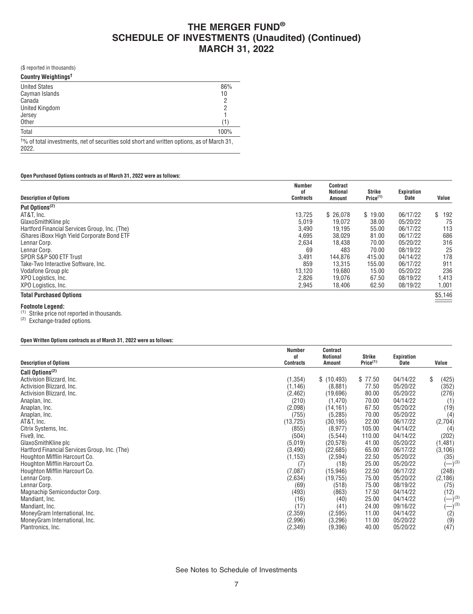(\$ reported in thousands)

| <b>Country Weightings<sup>t</sup></b>                                                               |      |
|-----------------------------------------------------------------------------------------------------|------|
| <b>United States</b>                                                                                | 86%  |
| Cayman Islands                                                                                      | 10   |
| Canada                                                                                              |      |
| <b>United Kingdom</b>                                                                               | 2    |
| Jersey                                                                                              |      |
| Other                                                                                               | (1)  |
| Total                                                                                               | 100% |
| $\frac{10}{6}$ of total investments net of securities sold short and written options as of March 31 |      |

of total investments, net of securities sold short and written options, as of March 31, 2022.

#### **Open Purchased Options contracts as of March 31, 2022 were as follows:**

| <b>Description of Options</b>                 | <b>Number</b><br>0f<br><b>Contracts</b> | <b>Contract</b><br>Notional<br>Amount | Strike<br>Price <sup>(1)</sup> | Expiration<br>Date | Value     |
|-----------------------------------------------|-----------------------------------------|---------------------------------------|--------------------------------|--------------------|-----------|
| Put Options <sup>(2)</sup>                    |                                         |                                       |                                |                    |           |
| AT&T. Inc.                                    | 13,725                                  | \$26.078                              | \$19.00                        | 06/17/22           | \$<br>192 |
| GlaxoSmithKline plc                           | 5,019                                   | 19.072                                | 38.00                          | 05/20/22           | 75        |
| Hartford Financial Services Group, Inc. (The) | 3,490                                   | 19.195                                | 55.00                          | 06/17/22           | 113       |
| iShares iBoxx High Yield Corporate Bond ETF   | 4,695                                   | 38.029                                | 81.00                          | 06/17/22           | 686       |
| Lennar Corp.                                  | 2,634                                   | 18.438                                | 70.00                          | 05/20/22           | 316       |
| Lennar Corp.                                  | 69                                      | 483                                   | 70.00                          | 08/19/22           | 25        |
| SPDR S&P 500 ETF Trust                        | 3.491                                   | 144.876                               | 415.00                         | 04/14/22           | 178       |
| Take-Two Interactive Software, Inc.           | 859                                     | 13.315                                | 155.00                         | 06/17/22           | 911       |
| Vodafone Group plc                            | 13,120                                  | 19,680                                | 15.00                          | 05/20/22           | 236       |
| XPO Logistics, Inc.                           | 2,826                                   | 19.076                                | 67.50                          | 08/19/22           | 1,413     |
| XPO Logistics, Inc.                           | 2,945                                   | 18,406                                | 62.50                          | 08/19/22           | 1,001     |
| <b>Total Purchased Options</b>                |                                         |                                       |                                |                    | \$5,146   |

### **Footnote Legend:**

(1) Strike price not reported in thousands.

(2) Exchange-traded options.

#### **Open Written Options contracts as of March 31, 2022 were as follows:**

|                                               | Number<br>οf     | Contract<br><b>Notional</b> | Strike               | Expiration |                      |
|-----------------------------------------------|------------------|-----------------------------|----------------------|------------|----------------------|
| <b>Description of Options</b>                 | <b>Contracts</b> | <b>Amount</b>               | Price <sup>(1)</sup> | Date       | Value                |
| Call Options <sup>(2)</sup>                   |                  |                             |                      |            |                      |
| Activision Blizzard, Inc.                     | (1, 354)         | \$(10, 493)                 | \$77.50              | 04/14/22   | \$<br>(425)          |
| Activision Blizzard, Inc.                     | (1, 146)         | (8,881)                     | 77.50                | 05/20/22   | (352)                |
| Activision Blizzard, Inc.                     | (2, 462)         | (19,696)                    | 80.00                | 05/20/22   | (276)                |
| Anaplan, Inc.                                 | (210)            | (1,470)                     | 70.00                | 04/14/22   | (1)                  |
| Anaplan, Inc.                                 | (2,098)          | (14, 161)                   | 67.50                | 05/20/22   | (19)                 |
| Anaplan, Inc.                                 | (755)            | (5, 285)                    | 70.00                | 05/20/22   | (4)                  |
| AT&T, Inc.                                    | (13, 725)        | (30, 195)                   | 22.00                | 06/17/22   | (2,704)              |
| Citrix Systems, Inc.                          | (855)            | (8,977)                     | 105.00               | 04/14/22   | (4)                  |
| Five9, Inc.                                   | (504)            | (5, 544)                    | 110.00               | 04/14/22   | (202)                |
| GlaxoSmithKline plc                           | (5,019)          | (20, 578)                   | 41.00                | 05/20/22   | (1, 481)             |
| Hartford Financial Services Group, Inc. (The) | (3, 490)         | (22, 685)                   | 65.00                | 06/17/22   | (3, 106)             |
| Houghton Mifflin Harcourt Co.                 | (1, 153)         | (2,594)                     | 22.50                | 05/20/22   | (35)                 |
| Houghton Mifflin Harcourt Co.                 | (7)              | (18)                        | 25.00                | 05/20/22   | $(-)^{(3)}$          |
| Houghton Mifflin Harcourt Co.                 | (7,087)          | (15, 946)                   | 22.50                | 06/17/22   | (248)                |
| Lennar Corp.                                  | (2,634)          | (19, 755)                   | 75.00                | 05/20/22   | (2, 186)             |
| Lennar Corp.                                  | (69)             | (518)                       | 75.00                | 08/19/22   | (75)                 |
| Magnachip Semiconductor Corp.                 | (493)            | (863)                       | 17.50                | 04/14/22   | (12)                 |
| Mandiant, Inc.                                | (16)             | (40)                        | 25.00                | 04/14/22   | $-$ ) <sup>(3)</sup> |
| Mandiant, Inc.                                | (17)             | (41)                        | 24.00                | 09/16/22   | $-$ <sup>(3)</sup>   |
| MoneyGram International, Inc.                 | (2,359)          | (2,595)                     | 11.00                | 04/14/22   | (2)                  |
| MoneyGram International, Inc.                 | (2,996)          | (3,296)                     | 11.00                | 05/20/22   | (9)                  |
| Plantronics, Inc.                             | (2, 349)         | (9,396)                     | 40.00                | 05/20/22   | (47)                 |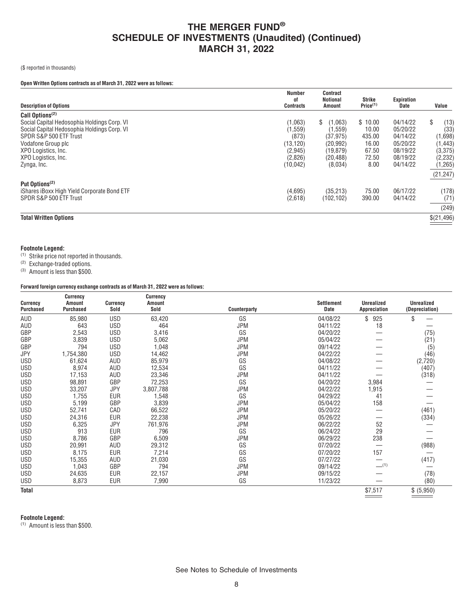### (\$ reported in thousands)

### **Open Written Options contracts as of March 31, 2022 were as follows:**

| <b>Description of Options</b>               | <b>Number</b><br>01<br><b>Contracts</b> | Contract<br>Notional<br><b>Amount</b> | Strike<br>Price <sup>(1)</sup> | Expiration<br>Date | Value       |
|---------------------------------------------|-----------------------------------------|---------------------------------------|--------------------------------|--------------------|-------------|
| Call Options <sup>(2)</sup>                 |                                         |                                       |                                |                    |             |
| Social Capital Hedosophia Holdings Corp. VI | (1,063)                                 | \$<br>(1,063)                         | \$10.00                        | 04/14/22           | (13)<br>\$  |
| Social Capital Hedosophia Holdings Corp. VI | 1,559)                                  | (1, 559)                              | 10.00                          | 05/20/22           | (33)        |
| SPDR S&P 500 ETF Trust                      | (873)                                   | (37, 975)                             | 435.00                         | 04/14/22           | (1,698)     |
| Vodafone Group plc                          | (13, 120)                               | (20, 992)                             | 16.00                          | 05/20/22           | (1, 443)    |
| XPO Logistics, Inc.                         | (2,945)                                 | (19,879)                              | 67.50                          | 08/19/22           | (3,375)     |
| XPO Logistics, Inc.                         | (2,826)                                 | (20, 488)                             | 72.50                          | 08/19/22           | (2,232)     |
| Zynga, Inc.                                 | (10, 042)                               | (8,034)                               | 8.00                           | 04/14/22           | (1, 265)    |
|                                             |                                         |                                       |                                |                    | (21, 247)   |
| Put Options <sup>(2)</sup>                  |                                         |                                       |                                |                    |             |
| iShares iBoxx High Yield Corporate Bond ETF | (4,695)                                 | (35, 213)                             | 75.00                          | 06/17/22           | (178)       |
| SPDR S&P 500 ETF Trust                      | (2,618)                                 | (102, 102)                            | 390.00                         | 04/14/22           | (71)        |
|                                             |                                         |                                       |                                |                    | (249)       |
| <b>Total Written Options</b>                |                                         |                                       |                                |                    | \$(21, 496) |

### **Footnote Legend:**

(1) Strike price not reported in thousands.

(2) Exchange-traded options.

(3) Amount is less than \$500.

### **Forward foreign currency exchange contracts as of March 31, 2022 were as follows:**

| Sold<br><b>Purchased</b><br>Sold<br>Counterparty<br>Date<br>Appreciation<br>(Depreciation)<br>63,420<br>GS<br>925<br>AUD<br>85,980<br><b>USD</b><br>04/08/22<br>\$<br>\$<br>AUD<br><b>USD</b><br>643<br>464<br><b>JPM</b><br>04/11/22<br>18<br>GBP<br>GS<br><b>USD</b><br>3,416<br>04/20/22<br>2,543<br>(75)<br>3,839<br>GBP<br><b>USD</b><br>5,062<br><b>JPM</b><br>05/04/22<br>(21)<br>794<br>GBP<br><b>USD</b><br>1,048<br><b>JPM</b><br>09/14/22<br>(5)<br><b>JPY</b><br><b>USD</b><br>14,462<br>1,754,380<br><b>JPM</b><br>04/22/22<br>(46)<br>GS<br><b>USD</b><br>61,624<br>85,979<br>04/08/22<br>(2,720)<br>AUD<br>GS<br>8,974<br><b>USD</b><br>12,534<br>04/11/22<br>(407)<br>AUD<br><b>USD</b><br>17,153<br>23,346<br>AUD<br><b>JPM</b><br>04/11/22<br>(318)<br>GS<br>98,891<br>GBP<br>72,253<br><b>USD</b><br>04/20/22<br>3,984 |  |
|-------------------------------------------------------------------------------------------------------------------------------------------------------------------------------------------------------------------------------------------------------------------------------------------------------------------------------------------------------------------------------------------------------------------------------------------------------------------------------------------------------------------------------------------------------------------------------------------------------------------------------------------------------------------------------------------------------------------------------------------------------------------------------------------------------------------------------------------|--|
|                                                                                                                                                                                                                                                                                                                                                                                                                                                                                                                                                                                                                                                                                                                                                                                                                                           |  |
|                                                                                                                                                                                                                                                                                                                                                                                                                                                                                                                                                                                                                                                                                                                                                                                                                                           |  |
|                                                                                                                                                                                                                                                                                                                                                                                                                                                                                                                                                                                                                                                                                                                                                                                                                                           |  |
|                                                                                                                                                                                                                                                                                                                                                                                                                                                                                                                                                                                                                                                                                                                                                                                                                                           |  |
|                                                                                                                                                                                                                                                                                                                                                                                                                                                                                                                                                                                                                                                                                                                                                                                                                                           |  |
|                                                                                                                                                                                                                                                                                                                                                                                                                                                                                                                                                                                                                                                                                                                                                                                                                                           |  |
|                                                                                                                                                                                                                                                                                                                                                                                                                                                                                                                                                                                                                                                                                                                                                                                                                                           |  |
|                                                                                                                                                                                                                                                                                                                                                                                                                                                                                                                                                                                                                                                                                                                                                                                                                                           |  |
|                                                                                                                                                                                                                                                                                                                                                                                                                                                                                                                                                                                                                                                                                                                                                                                                                                           |  |
|                                                                                                                                                                                                                                                                                                                                                                                                                                                                                                                                                                                                                                                                                                                                                                                                                                           |  |
| <b>USD</b><br>33,207<br>3,807,788<br><b>JPM</b><br>1,915<br>JPY<br>04/22/22                                                                                                                                                                                                                                                                                                                                                                                                                                                                                                                                                                                                                                                                                                                                                               |  |
| GS<br><b>USD</b><br>1,755<br><b>EUR</b><br>04/29/22<br>41<br>1,548                                                                                                                                                                                                                                                                                                                                                                                                                                                                                                                                                                                                                                                                                                                                                                        |  |
| 158<br>5,199<br>GBP<br>3,839<br><b>USD</b><br><b>JPM</b><br>05/04/22                                                                                                                                                                                                                                                                                                                                                                                                                                                                                                                                                                                                                                                                                                                                                                      |  |
| <b>USD</b><br>52,741<br>66,522<br><b>JPM</b><br>CAD<br>05/20/22<br>(461)                                                                                                                                                                                                                                                                                                                                                                                                                                                                                                                                                                                                                                                                                                                                                                  |  |
| 22,238<br><b>USD</b><br>24,316<br><b>EUR</b><br><b>JPM</b><br>05/26/22<br>(334)                                                                                                                                                                                                                                                                                                                                                                                                                                                                                                                                                                                                                                                                                                                                                           |  |
| 6,325<br>JPY<br>52<br><b>USD</b><br>761,976<br><b>JPM</b><br>06/22/22                                                                                                                                                                                                                                                                                                                                                                                                                                                                                                                                                                                                                                                                                                                                                                     |  |
| 29<br>913<br>GS<br><b>USD</b><br>EUR<br>796<br>06/24/22                                                                                                                                                                                                                                                                                                                                                                                                                                                                                                                                                                                                                                                                                                                                                                                   |  |
| 8,786<br>GBP<br>6,509<br>06/29/22<br>238<br><b>USD</b><br><b>JPM</b>                                                                                                                                                                                                                                                                                                                                                                                                                                                                                                                                                                                                                                                                                                                                                                      |  |
| GS<br><b>USD</b><br>20,991<br>29,312<br>07/20/22<br>(988)<br>AUD                                                                                                                                                                                                                                                                                                                                                                                                                                                                                                                                                                                                                                                                                                                                                                          |  |
| GS<br>157<br><b>USD</b><br>8,175<br><b>EUR</b><br>7,214<br>07/20/22                                                                                                                                                                                                                                                                                                                                                                                                                                                                                                                                                                                                                                                                                                                                                                       |  |
| GS<br><b>USD</b><br>15,355<br>21,030<br>(417)<br>AUD<br>07/27/22                                                                                                                                                                                                                                                                                                                                                                                                                                                                                                                                                                                                                                                                                                                                                                          |  |
| $-$ (1)<br><b>USD</b><br>1,043<br>GBP<br>794<br><b>JPM</b><br>09/14/22                                                                                                                                                                                                                                                                                                                                                                                                                                                                                                                                                                                                                                                                                                                                                                    |  |
| (78)<br><b>USD</b><br>24,635<br><b>EUR</b><br>22,157<br><b>JPM</b><br>09/15/22                                                                                                                                                                                                                                                                                                                                                                                                                                                                                                                                                                                                                                                                                                                                                            |  |
| GS<br><b>USD</b><br>8,873<br><b>EUR</b><br>7,990<br>(80)<br>11/23/22                                                                                                                                                                                                                                                                                                                                                                                                                                                                                                                                                                                                                                                                                                                                                                      |  |
| <b>Total</b><br>\$7,517<br>\$ (5,950)                                                                                                                                                                                                                                                                                                                                                                                                                                                                                                                                                                                                                                                                                                                                                                                                     |  |

### **Footnote Legend:**

(1) Amount is less than \$500.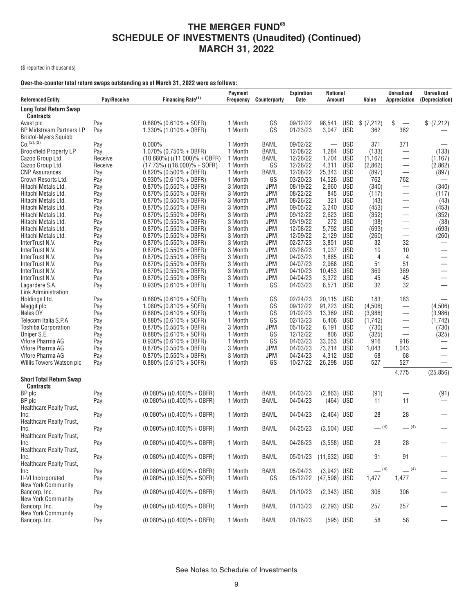(\$ reported in thousands)

### **Over-the-counter total return swaps outstanding as of March 31, 2022 were as follows:**

| <b>Referenced Entity</b>                           | Pay/Receive | Financing Rate <sup>(1)</sup>                          | Payment<br><b>Frequency</b> | <b>Counterparty</b>      | <b>Expiration</b><br>Date | Notional<br>Amount       |                          | Value          | <b>Unrealized</b><br>Appreciation | <b>Unrealized</b><br>(Depreciation) |
|----------------------------------------------------|-------------|--------------------------------------------------------|-----------------------------|--------------------------|---------------------------|--------------------------|--------------------------|----------------|-----------------------------------|-------------------------------------|
| <b>Long Total Return Swap</b><br><b>Contracts</b>  |             |                                                        |                             |                          |                           |                          |                          |                |                                   |                                     |
| Avast plc                                          | Pay         | $0.880\%$ (0.610% + SOFR)                              | 1 Month                     | GS                       | 09/12/22                  | 98,541                   | <b>USD</b>               | \$(7,212)      | \$<br>$\overline{\phantom{m}}$    | \$ (7,212)                          |
| <b>BP Midstream Partners LP</b>                    | Pay         | $1.330\%$ (1.010% + OBFR)                              | 1 Month                     | GS                       | 01/23/23                  | 3,047                    | <b>USD</b>               | 362            | 362                               |                                     |
| Bristol-Myers Squibb                               |             |                                                        |                             |                          |                           |                          |                          |                |                                   |                                     |
| $C_0$ . $(2)$ , $(3)$                              | Pay         | $0.000\%$                                              | 1 Month                     | BAML                     | 09/02/22                  | $\overline{\phantom{0}}$ | <b>USD</b>               | 371            | 371                               |                                     |
| <b>Brookfield Property LP</b>                      | Pay         | $1.070\%$ (0.750% + OBFR)                              | 1 Month                     | BAML                     | 12/08/22                  | 1,284                    | <b>USD</b>               | (133)          |                                   | (133)                               |
| Cazoo Group Ltd.                                   | Receive     | $(10.680\%)$ $((11.000)\% + 0BFR)$                     | 1 Month                     | BAML                     | 12/26/22                  | 1,704                    | <b>USD</b>               | (1, 167)       | —                                 | (1, 167)                            |
| Cazoo Group Ltd.                                   | Receive     | (17.73%) ((18.000)% + SOFR)                            | 1 Month                     | GS                       | 12/26/22                  | 4,311                    | <b>USD</b>               | (2,862)        |                                   | (2,862)                             |
| <b>CNP Assurances</b>                              | Pay         | $0.820\%$ (0.500% + OBFR)                              | 1 Month                     | BAML                     | 12/08/22                  | 25,343                   | <b>USD</b>               | (897)          | $\qquad \qquad -$                 | (897)                               |
| Crown Resorts Ltd.                                 | Pay         | $0.930\%$ (0.610% + OBFR)                              | 1 Month                     | GS                       | 03/20/23                  | 14,526                   | <b>USD</b>               | 762            | 762                               |                                     |
| Hitachi Metals Ltd.                                | Pay         | $0.870\%$ (0.550% + OBFR)                              | 3 Month                     | JPM                      | 08/19/22                  | 2,960                    | <b>USD</b>               | (340)          |                                   | (340)                               |
| Hitachi Metals Ltd.                                | Pay         | $0.870\%$ (0.550% + OBFR)                              | 3 Month                     | <b>JPM</b>               | 08/22/22                  | 845                      | <b>USD</b>               | (117)          | —                                 | (117)                               |
| Hitachi Metals Ltd.                                | Pay         | $0.870\%$ (0.550% + OBFR)                              | 3 Month                     | <b>JPM</b>               | 08/26/22<br>09/05/22      | 321                      | <b>USD</b><br><b>USD</b> | (43)           | —                                 | (43)                                |
| Hitachi Metals Ltd.<br>Hitachi Metals Ltd.         | Pay         | $0.870\%$ (0.550% + OBFR)<br>$0.870\%$ (0.550% + OBFR) | 3 Month<br>3 Month          | <b>JPM</b><br><b>JPM</b> | 09/12/22                  | 3,240<br>2,623           | <b>USD</b>               | (453)<br>(352) | —                                 | (453)<br>(352)                      |
| Hitachi Metals Ltd.                                | Pay<br>Pay  | $0.870\%$ (0.550% + OBFR)                              | 3 Month                     | <b>JPM</b>               | 09/19/22                  | 272                      | <b>USD</b>               | (38)           | —                                 | (38)                                |
| Hitachi Metals Ltd.                                | Pay         | $0.870\%$ (0.550% + OBFR)                              | 3 Month                     | <b>JPM</b>               | 12/08/22                  | 5,792                    | <b>USD</b>               | (693)          | —                                 | (693)                               |
| Hitachi Metals Ltd.                                | Pay         | $0.870\%$ (0.550% + OBFR)                              | 3 Month                     | <b>JPM</b>               | 12/09/22                  | 2,129                    | <b>USD</b>               | (260)          |                                   | (260)                               |
| InterTrust N.V.                                    | Pay         | $0.870\%$ (0.550% + OBFR)                              | 3 Month                     | <b>JPM</b>               | 02/27/23                  | 3,851                    | <b>USD</b>               | 32             | 32                                |                                     |
| InterTrust N.V.                                    | Pay         | $0.870\%$ (0.550% + OBFR)                              | 3 Month                     | <b>JPM</b>               | 03/28/23                  | 1.037                    | <b>USD</b>               | 10             | 10                                |                                     |
| InterTrust N.V.                                    | Pay         | $0.870\%$ (0.550% + OBFR)                              | 3 Month                     | <b>JPM</b>               | 04/03/23                  | 1,885                    | <b>USD</b>               | 4              | 4                                 | $\overbrace{\phantom{12322111}}$    |
| InterTrust N.V.                                    | Pay         | $0.870\%$ (0.550% + OBFR)                              | 3 Month                     | <b>JPM</b>               | 04/07/23                  | 2.968                    | <b>USD</b>               | 51             | 51                                |                                     |
| InterTrust N.V.                                    | Pay         | $0.870\%$ (0.550% + OBFR)                              | 3 Month                     | <b>JPM</b>               | 04/10/23                  | 10,453                   | <b>USD</b>               | 369            | 369                               |                                     |
| InterTrust N.V.                                    | Pay         | $0.870\%$ (0.550% + OBFR)                              | 3 Month                     | <b>JPM</b>               | 04/04/23                  | 3,372                    | <b>USD</b>               | 45             | 45                                |                                     |
| Lagardere S.A.                                     | Pay         | $0.930\%$ (0.610% + OBFR)                              | 1 Month                     | GS                       | 04/03/23                  | 8,571                    | <b>USD</b>               | 32             | 32                                |                                     |
| Link Administration                                |             |                                                        |                             |                          |                           |                          |                          |                |                                   |                                     |
| Holdings Ltd.                                      | Pay         | $0.880\%$ (0.610% + SOFR)                              | 1 Month                     | GS                       | 02/24/23                  | 20.115                   | <b>USD</b>               | 183            | 183                               |                                     |
| Meggit plc                                         | Pay         | $1.080\%$ (0.810% + SOFR)                              | 1 Month                     | GS                       | 09/12/22                  | 91,223                   | <b>USD</b>               | (4,506)        | $\qquad \qquad -$                 | (4,506)                             |
| Neles OY                                           | Pay         | $0.880\%$ (0.610% + SOFR)                              | 1 Month                     | GS                       | 01/02/23                  | 13.369                   | <b>USD</b>               | (3,986)        |                                   | (3,986)                             |
| Telecom Italia S.P.A                               | Pay         | $0.880\%$ (0.610% + SOFR)                              | 1 Month                     | GS                       | 02/13/23                  | 6,406                    | <b>USD</b>               | (1,742)        |                                   | (1,742)                             |
| <b>Toshiba Corporation</b>                         | Pay         | $0.870\%$ (0.550% + OBFR)                              | 3 Month                     | <b>JPM</b>               | 05/16/22                  | 6,191                    | <b>USD</b>               | (730)          |                                   | (730)                               |
| Uniper S.E.                                        | Pay         | $0.880\%$ (0.610% + SOFR)                              | 1 Month                     | GS                       | 12/12/22                  | 806                      | <b>USD</b>               | (325)          | $\overbrace{\phantom{12322111}}$  | (325)                               |
| Vifore Pharma AG                                   | Pay         | $0.930\%$ (0.610% + OBFR)                              | 1 Month                     | GS                       | 04/03/23                  | 33,053                   | <b>USD</b>               | 916            | 916                               |                                     |
| Vifore Pharma AG                                   | Pay         | $0.870\%$ (0.550% + OBFR)                              | 3 Month                     | <b>JPM</b>               | 04/03/23                  | 73,214                   | <b>USD</b>               | 1,043          | 1,043                             |                                     |
| Vifore Pharma AG<br>Willis Towers Watson plc       | Pay         | $0.870\%$ (0.550% + OBFR)                              | 3 Month<br>1 Month          | <b>JPM</b><br>GS         | 04/24/23<br>10/27/22      | 4,312<br>26,298          | <b>USD</b><br><b>USD</b> | 68<br>527      | 68<br>527                         | $\qquad \qquad$                     |
|                                                    | Pay         | $0.880\%$ (0.610% + SOFR)                              |                             |                          |                           |                          |                          |                | 4,775                             | (25, 856)                           |
| <b>Short Total Return Swap</b><br><b>Contracts</b> |             |                                                        |                             |                          |                           |                          |                          |                |                                   |                                     |
| BP plc                                             | Pay         | $(0.080\%)$ $((0.400)\% + 0BFR)$                       | 1 Month                     | BAML                     | 04/03/23                  | $(2,863)$ USD            |                          | (91)           |                                   | (91)                                |
| BP plc                                             | Pay         | $(0.080\%)$ $((0.400)\% + 0BFR)$                       | 1 Month                     | BAML                     | 04/04/23                  | (464) USD                |                          | 11             | 11                                |                                     |
| Healthcare Realty Trust,                           |             |                                                        |                             |                          |                           |                          |                          |                |                                   |                                     |
| Inc.<br>Healthcare Realty Trust,                   | Pay         | $(0.080\%)$ $((0.400)\% + 0BFR)$                       | 1 Month                     | BAML                     | 04/04/23                  | $(2,464)$ USD            |                          | 28             | 28                                |                                     |
| Inc.                                               | Pay         | $(0.080\%)$ $((0.400)\% + 0BFR)$                       | 1 Month                     | BAML                     | 04/25/23                  | $(3,504)$ USD            |                          | $-$ (4)        | $-$ (4)                           |                                     |
| Healthcare Realty Trust,<br>Inc.                   | Pay         | $(0.080\%)$ $((0.400)\% + 0BFR)$                       | 1 Month                     | BAML                     | 04/28/23                  | $(3,558)$ USD            |                          | 28             | 28                                |                                     |
| <b>Healthcare Realty Trust,</b>                    |             |                                                        |                             |                          |                           |                          |                          |                |                                   |                                     |
| Inc.<br>Healthcare Realty Trust,                   | Pay         | $(0.080\%)$ $((0.400)\% + 0BFR)$                       | 1 Month                     | BAML                     | 05/01/23                  | $(11,632)$ USD           |                          | 91             | 91                                |                                     |
| Inc.                                               | Pay         | $(0.080\%)$ $((0.400)\% + 0BFR)$                       | 1 Month                     | BAML                     | 05/04/23                  | $(3,942)$ USD            |                          | $-$ (4)        | $- (4)$                           |                                     |
| II-VI Incorporated                                 | Pay         | $(0.080\%) ((0.350)\% + SOFR)$                         | 1 Month                     | GS                       | 05/12/22                  | $(47,598)$ USD           |                          | 1,477          | 1,477                             |                                     |
| New York Community                                 |             |                                                        |                             |                          |                           |                          |                          |                |                                   |                                     |
| Bancorp, Inc.                                      | Pay         | $(0.080\%)$ $((0.400)\% + 0BFR)$                       | 1 Month                     | BAML                     | 01/10/23                  | $(2,343)$ USD            |                          | 306            | 306                               |                                     |
| <b>New York Community</b>                          |             |                                                        |                             |                          |                           |                          |                          |                |                                   |                                     |
| Bancorp, Inc.                                      | Pay         | $(0.080\%)$ $((0.400)\% + 0BFR)$                       | 1 Month                     | BAML                     | 01/13/23                  | $(2, 293)$ USD           |                          | 257            | 257                               |                                     |
| <b>New York Community</b><br>Bancorp, Inc.         |             | $(0.080\%)$ $((0.400)\% + 0BFR)$                       | 1 Month                     |                          | 01/16/23                  | (595) USD                |                          | 58             | 58                                |                                     |
|                                                    | Pay         |                                                        |                             | BAML                     |                           |                          |                          |                |                                   |                                     |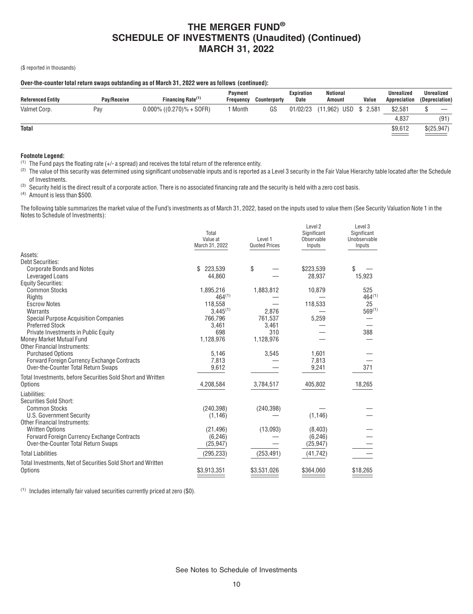(\$ reported in thousands)

### **Over-the-counter total return swaps outstanding as of March 31, 2022 were as follows (continued):**

| <b>Referenced Entity</b> | Pav/Receive | Financing Rate <sup>(1)</sup> | <b>Payment</b><br>Freauency | Counterparty | Expiration<br>Date | Notional<br>Amount | Value        | <b>Unrealized</b><br>Appreciation | Unrealized<br>(Depreciation) |
|--------------------------|-------------|-------------------------------|-----------------------------|--------------|--------------------|--------------------|--------------|-----------------------------------|------------------------------|
| Valmet Corp.             | Pay         | $0.000\%$ ((0.270)% + SOFR)   | Month                       | GS           | 01/02/23           | (11, 962)          | USD \$ 2,581 | \$2,581                           | __                           |
|                          |             |                               |                             |              |                    |                    |              | 4.837                             | (91)                         |
| <b>Total</b>             |             |                               |                             |              |                    |                    |              | \$9,612<br>$\equiv$ $\equiv$      | \$(25,947)<br>$\sim$         |

### **Footnote Legend:**

 $(1)$  The Fund pays the floating rate (+/- a spread) and receives the total return of the reference entity.

(2) The value of this security was determined using significant unobservable inputs and is reported as a Level 3 security in the Fair Value Hierarchy table located after the Schedule of Investments.

<sup>(3)</sup> Security held is the direct result of a corporate action. There is no associated financing rate and the security is held with a zero cost basis.

(4) Amount is less than \$500.

The following table summarizes the market value of the Fund's investments as of March 31, 2022, based on the inputs used to value them (See Security Valuation Note 1 in the Notes to Schedule of Investments):

|                                                             | Total<br>Value at<br>March 31, 2022 | Level 1<br><b>Quoted Prices</b> | Level 2<br>Significant<br>Observable<br>Inputs | Level 3<br>Significant<br>Unobservable<br>Inputs |
|-------------------------------------------------------------|-------------------------------------|---------------------------------|------------------------------------------------|--------------------------------------------------|
| Assets:                                                     |                                     |                                 |                                                |                                                  |
| <b>Debt Securities:</b>                                     |                                     |                                 |                                                |                                                  |
| <b>Corporate Bonds and Notes</b>                            | 223,539<br>\$                       | \$                              | \$223,539                                      | \$                                               |
| Leveraged Loans                                             | 44.860                              |                                 | 28,937                                         | 15,923                                           |
| <b>Equity Securities:</b>                                   |                                     |                                 |                                                |                                                  |
| <b>Common Stocks</b>                                        | 1.895.216                           | 1,883,812                       | 10,879                                         | 525                                              |
| Rights                                                      | $464^{(1)}$                         |                                 |                                                | $464^{(1)}$                                      |
| <b>Escrow Notes</b>                                         | 118,558                             |                                 | 118,533                                        | 25                                               |
| Warrants                                                    | $3,445^{(1)}$                       | 2.876                           |                                                | $569^{(1)}$                                      |
| <b>Special Purpose Acquisition Companies</b>                | 766,796                             | 761,537                         | 5,259                                          |                                                  |
| <b>Preferred Stock</b>                                      | 3,461                               | 3,461                           |                                                |                                                  |
| Private Investments in Public Equity                        | 698                                 | 310                             |                                                | 388                                              |
| Money Market Mutual Fund                                    | 1,128,976                           | 1,128,976                       |                                                |                                                  |
| <b>Other Financial Instruments:</b>                         |                                     |                                 |                                                |                                                  |
| <b>Purchased Options</b>                                    | 5,146                               | 3,545                           | 1,601                                          |                                                  |
| <b>Forward Foreign Currency Exchange Contracts</b>          | 7,813                               |                                 | 7,813                                          |                                                  |
| Over-the-Counter Total Return Swaps                         | 9,612                               |                                 | 9,241                                          | 371                                              |
| Total Investments, before Securities Sold Short and Written |                                     |                                 |                                                |                                                  |
| Options                                                     | 4,208,584                           | 3,784,517                       | 405,802                                        | 18,265                                           |
|                                                             |                                     |                                 |                                                |                                                  |
| Liabilities:                                                |                                     |                                 |                                                |                                                  |
| Securities Sold Short:                                      |                                     |                                 |                                                |                                                  |
| <b>Common Stocks</b>                                        | (240, 398)                          | (240, 398)                      |                                                |                                                  |
| U.S. Government Security                                    | (1, 146)                            |                                 | (1, 146)                                       |                                                  |
| <b>Other Financial Instruments:</b>                         |                                     |                                 |                                                |                                                  |
| <b>Written Options</b>                                      | (21, 496)                           | (13,093)                        | (8,403)                                        |                                                  |
| Forward Foreign Currency Exchange Contracts                 | (6, 246)                            |                                 | (6, 246)                                       |                                                  |
| Over-the-Counter Total Return Swaps                         | (25, 947)                           |                                 | (25, 947)                                      |                                                  |
| <b>Total Liabilities</b>                                    | (295, 233)                          | (253, 491)                      | (41, 742)                                      |                                                  |
| Total Investments, Net of Securities Sold Short and Written |                                     |                                 |                                                |                                                  |
| Options                                                     | \$3,913,351                         | \$3,531,026                     | \$364,060                                      | \$18,265                                         |
|                                                             |                                     |                                 |                                                |                                                  |

(1) Includes internally fair valued securities currently priced at zero (\$0).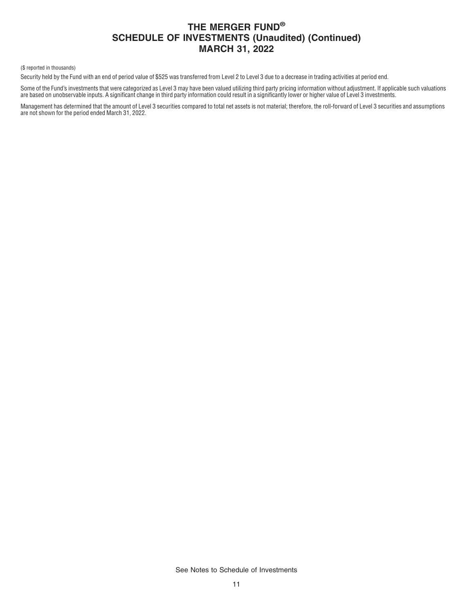(\$ reported in thousands)

Security held by the Fund with an end of period value of \$525 was transferred from Level 2 to Level 3 due to a decrease in trading activities at period end.

Some of the Fund's investments that were categorized as Level 3 may have been valued utilizing third party pricing information without adjustment. If applicable such valuations are based on unobservable inputs. A significant change in third party information could result in a significantly lower or higher value of Level 3 investments.

Management has determined that the amount of Level 3 securities compared to total net assets is not material; therefore, the roll-forward of Level 3 securities and assumptions are not shown for the period ended March 31, 2022.